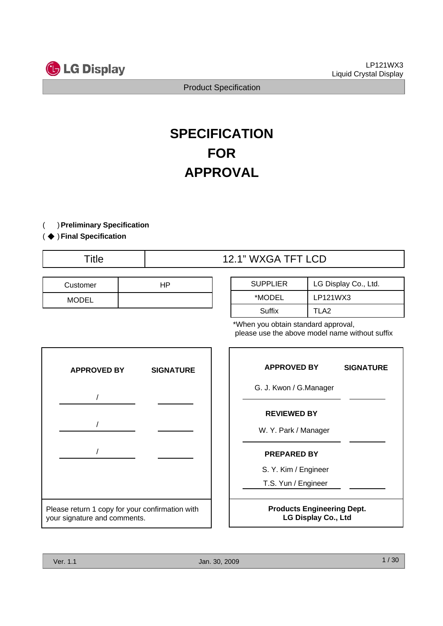

# **SPECIFICATION FOR APPROVAL**

( ) **Preliminary Specification**

### ( ◆ ) Final Specification

Title  $\qquad$  | 12.1" WXGA TFT LCD

| Customer     | JD |
|--------------|----|
| <b>MODEL</b> |    |

| <b>SUPPLIER</b> | LG Display Co., Ltd. |
|-----------------|----------------------|
| *MODEL          | LP121WX3             |
| Suffix          | TLA2                 |

\*When you obtain standard approval, please use the above model name without suffix



| <b>APPROVED BY</b>                                              | <b>SIGNATURE</b> |  |  |  |  |  |
|-----------------------------------------------------------------|------------------|--|--|--|--|--|
| G. J. Kwon / G.Manager                                          |                  |  |  |  |  |  |
| <b>REVIEWED BY</b><br>W. Y. Park / Manager                      |                  |  |  |  |  |  |
| <b>PREPARED BY</b>                                              |                  |  |  |  |  |  |
| S. Y. Kim / Engineer                                            |                  |  |  |  |  |  |
| T.S. Yun / Engineer                                             |                  |  |  |  |  |  |
| <b>Products Engineering Dept.</b><br><b>LG Display Co., Ltd</b> |                  |  |  |  |  |  |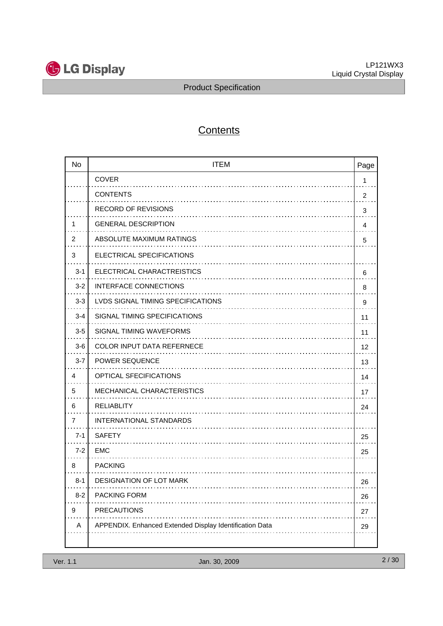

# **Contents**

| <b>No</b> | <b>ITEM</b>                                             | Page           |
|-----------|---------------------------------------------------------|----------------|
|           | <b>COVER</b>                                            | 1              |
|           | <b>CONTENTS</b>                                         | $\overline{c}$ |
|           | <b>RECORD OF REVISIONS</b>                              | 3              |
| 1         | <b>GENERAL DESCRIPTION</b>                              | 4              |
| 2         | ABSOLUTE MAXIMUM RATINGS                                | 5              |
| 3         | ELECTRICAL SPECIFICATIONS                               |                |
| $3 - 1$   | ELECTRICAL CHARACTREISTICS                              | 6              |
| $3 - 2$   | <b>INTERFACE CONNECTIONS</b>                            | 8              |
| $3 - 3$   | LVDS SIGNAL TIMING SPECIFICATIONS                       | 9              |
| $3 - 4$   | SIGNAL TIMING SPECIFICATIONS                            | 11             |
| $3-5$     | SIGNAL TIMING WAVEFORMS                                 | 11             |
| $3-6$     | <b>COLOR INPUT DATA REFERNECE</b>                       | 12             |
| $3 - 7$   | POWER SEQUENCE                                          | 13             |
| 4         | OPTICAL SFECIFICATIONS                                  | 14             |
| 5         | <b>MECHANICAL CHARACTERISTICS</b>                       | 17             |
| 6         | <b>RELIABLITY</b>                                       | 24             |
| 7         | INTERNATIONAL STANDARDS                                 |                |
| $7 - 1$   | <b>SAFETY</b>                                           | 25             |
| $7 - 2$   | <b>EMC</b>                                              | 25             |
| 8         | <b>PACKING</b>                                          |                |
| $8 - 1$   | <b>DESIGNATION OF LOT MARK</b>                          | 26             |
| $8 - 2$   | PACKING FORM                                            | 26             |
| 9         | <b>PRECAUTIONS</b>                                      | 27             |
| Α         | APPENDIX. Enhanced Extended Display Identification Data | 29             |
|           |                                                         |                |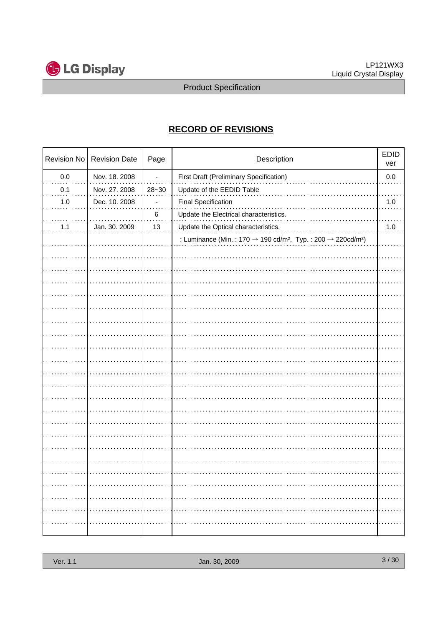

# **RECORD OF REVISIONS**

| Revision No | <b>Revision Date</b> | Page      | Description                                                                                                 |         |
|-------------|----------------------|-----------|-------------------------------------------------------------------------------------------------------------|---------|
| $0.0\,$     | Nov. 18. 2008        |           | First Draft (Preliminary Specification)                                                                     | $0.0\,$ |
| 0.1         | Nov. 27. 2008        | $28 - 30$ | Update of the EEDID Table                                                                                   |         |
| $1.0$       | Dec. 10. 2008        |           | <b>Final Specification</b>                                                                                  | $1.0$   |
|             |                      | $\,6$     | Update the Electrical characteristics.                                                                      |         |
| 1.1         | Jan. 30. 2009        | 13        | Update the Optical characteristics.                                                                         | 1.0     |
|             |                      |           | : Luminance (Min.: 170 $\rightarrow$ 190 cd/m <sup>2</sup> , Typ.: 200 $\rightarrow$ 220cd/m <sup>2</sup> ) |         |
|             |                      |           |                                                                                                             |         |
|             |                      |           |                                                                                                             |         |
|             |                      |           |                                                                                                             |         |
|             |                      |           |                                                                                                             |         |
|             |                      |           |                                                                                                             |         |
|             |                      |           |                                                                                                             |         |
|             |                      |           |                                                                                                             |         |
|             |                      |           |                                                                                                             |         |
|             |                      |           |                                                                                                             |         |
|             |                      |           |                                                                                                             |         |
|             |                      |           |                                                                                                             |         |
|             |                      |           |                                                                                                             |         |
|             |                      |           |                                                                                                             |         |
|             |                      |           |                                                                                                             |         |
|             |                      |           |                                                                                                             |         |
|             |                      |           |                                                                                                             |         |
|             |                      |           |                                                                                                             |         |
|             |                      |           |                                                                                                             |         |
|             |                      |           |                                                                                                             |         |
|             |                      |           |                                                                                                             |         |
|             |                      |           |                                                                                                             |         |
|             |                      |           |                                                                                                             |         |
|             |                      |           |                                                                                                             |         |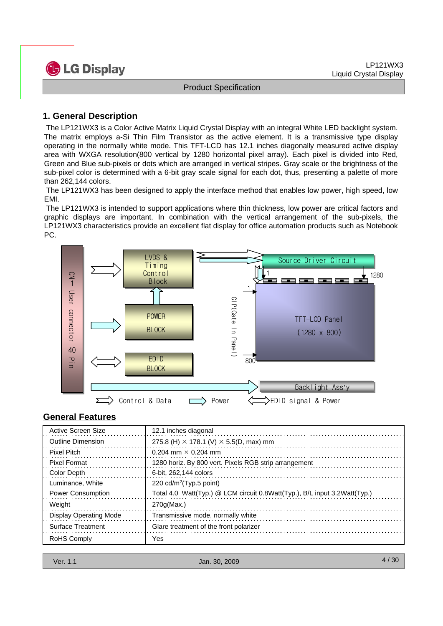

# **1. General Description**

The LP121WX3 is a Color Active Matrix Liquid Crystal Display with an integral White LED backlight system. The matrix employs a-Si Thin Film Transistor as the active element. It is a transmissive type display operating in the normally white mode. This TFT-LCD has 12.1 inches diagonally measured active display area with WXGA resolution(800 vertical by 1280 horizontal pixel array). Each pixel is divided into Red, Green and Blue sub-pixels or dots which are arranged in vertical stripes. Gray scale or the brightness of the sub-pixel color is determined with a 6-bit gray scale signal for each dot, thus, presenting a palette of more than 262,144 colors.

The LP121WX3 has been designed to apply the interface method that enables low power, high speed, low EMI.

The LP121WX3 is intended to support applications where thin thickness, low power are critical factors and graphic displays are important. In combination with the vertical arrangement of the sub-pixels, the LP121WX3 characteristics provide an excellent flat display for office automation products such as Notebook PC.



# **General Features**

| Active Screen Size            | 12.1 inches diagonal                                                      |
|-------------------------------|---------------------------------------------------------------------------|
| <b>Outline Dimension</b>      | 275.8 (H) $\times$ 178.1 (V) $\times$ 5.5(D, max) mm                      |
| <b>Pixel Pitch</b>            | 0.204 mm $\times$ 0.204 mm                                                |
| <b>Pixel Format</b>           | 1280 horiz. By 800 vert. Pixels RGB strip arrangement                     |
| Color Depth                   | 6-bit, 262,144 colors                                                     |
| Luminance, White              | 220 $cd/m^2$ (Typ.5 point)                                                |
| <b>Power Consumption</b>      | Total 4.0 Watt(Typ.) @ LCM circuit 0.8Watt(Typ.), B/L input 3.2Watt(Typ.) |
| Weight                        | $270q$ (Max.)                                                             |
| <b>Display Operating Mode</b> | Transmissive mode, normally white                                         |
| <b>Surface Treatment</b>      | Glare treatment of the front polarizer                                    |
| RoHS Comply                   | Yes                                                                       |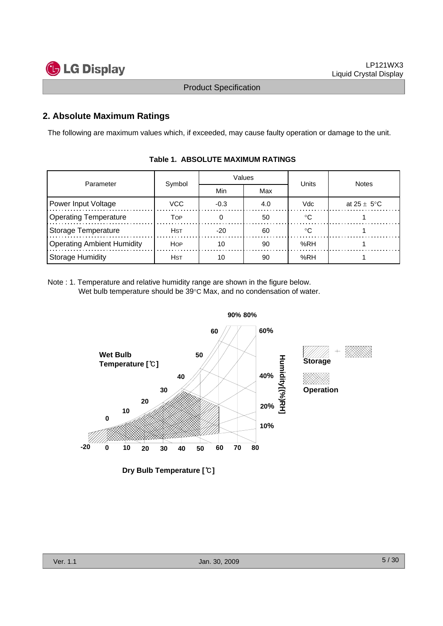

# **2. Absolute Maximum Ratings**

The following are maximum values which, if exceeded, may cause faulty operation or damage to the unit.

| Parameter                  | Symbol      |        | Values | Units | <b>Notes</b>            |  |
|----------------------------|-------------|--------|--------|-------|-------------------------|--|
|                            |             | Min    | Max    |       |                         |  |
| Power Input Voltage        | <b>VCC</b>  | $-0.3$ | 4.0    | Vdc   | at $25 \pm 5^{\circ}$ C |  |
| Operating Temperature      | Top         |        | 50     | ∘∩    |                         |  |
| Storage Temperature        | <b>H</b> st | $-20$  | 60     | ∘∩    |                         |  |
| Operating Ambient Humidity | <b>HOP</b>  | 10     | 90     | %RH   |                         |  |
| Storage Humidity           | <b>H</b> st | 10     | 90     | %RH   |                         |  |

### **Table 1. ABSOLUTE MAXIMUM RATINGS**

Note : 1. Temperature and relative humidity range are shown in the figure below. Wet bulb temperature should be 39°C Max, and no condensation of water.

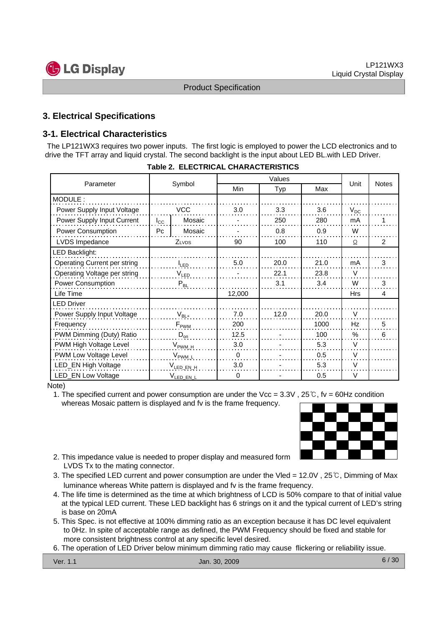

# **3. Electrical Specifications**

# **3-1. Electrical Characteristics**

The LP121WX3 requires two power inputs. The first logic is employed to power the LCD electronics and to drive the TFT array and liquid crystal. The second backlight is the input about LED BL.with LED Driver.

| Parameter                    |                     |                       |          |      | <b>Notes</b> |               |                |
|------------------------------|---------------------|-----------------------|----------|------|--------------|---------------|----------------|
|                              |                     | Symbol                | Min      | Typ  | Max          | Unit          |                |
| MODULE:                      |                     |                       |          |      |              |               |                |
| Power Supply Input Voltage   |                     | <b>VCC</b>            | 3.0      | 3.3  | 3.6          | $V_{DC}$      |                |
| Power Supply Input Current   | $I_{\rm CC}$        | Mosaic                |          | 250  | 280          | mA            |                |
| <b>Power Consumption</b>     | Pc                  | Mosaic                |          | 0.8  | 0.9          | W             |                |
| LVDS Impedance               |                     | <b>ZLVDS</b>          | 90       | 100  | 110          | Ω             | $\mathfrak{p}$ |
| LED Backlight:               |                     |                       |          |      |              |               |                |
| Operating Current per string | <b>I</b> LED        |                       | 5.0      | 20.0 | 21.0         | mA            | 3              |
| Operating Voltage per string | V <sub>led</sub>    |                       |          | 22.1 | 23.8         | V             |                |
| Power Consumption            |                     | $P_{BL}$              |          | 3.1  | 3.4          | W             | 3              |
| Life Time                    |                     |                       | 12,000   |      |              | <b>Hrs</b>    | 4              |
| <b>LED Driver</b>            |                     |                       |          |      |              |               |                |
| Power Supply Input Voltage   |                     | $V_{BL+}$             | 7.0      | 12.0 | 20.0         | V             |                |
| Frequency                    |                     | $F_{\rm PWM}$         | 200      |      | 1000         | Hz            | 5              |
| PWM Dimming (Duty) Ratio     | $D_{\text{on}}$     |                       | 12.5     |      | 100          | $\frac{0}{0}$ | 6              |
| PWM High Voltage Level       | $V_{\text{PWM\_H}}$ |                       | 3.0      |      | 5.3          | V             |                |
| PWM Low Voltage Level        | $V_{\text{PWM}_L}$  |                       | $\Omega$ |      | 0.5          | $\vee$        |                |
| LED_EN High Voltage          | $V_{LED, EN, H}$    |                       | 3.0      |      | 5.3          | $\vee$        |                |
| <b>LED_EN Low Voltage</b>    |                     | V <sub>LED_EN_L</sub> | $\Omega$ |      | 0.5          | V             |                |

Note)

1. The specified current and power consumption are under the Vcc =  $3.3V$ ,  $25^{\circ}$ C, fv = 60Hz condition whereas Mosaic pattern is displayed and fv is the frame frequency.



- 2. This impedance value is needed to proper display and measured form LVDS Tx to the mating connector.
- 3. The specified LED current and power consumption are under the Vled = 12.0V , 25℃, Dimming of Max luminance whereas White pattern is displayed and fv is the frame frequency.
- 4. The life time is determined as the time at which brightness of LCD is 50% compare to that of initial value at the typical LED current. These LED backlight has 6 strings on it and the typical current of LED's string is base on 20mA
- 5. This Spec. is not effective at 100% dimming ratio as an exception because it has DC level equivalent to 0Hz. In spite of acceptable range as defined, the PWM Frequency should be fixed and stable for more consistent brightness control at any specific level desired.
- 6. The operation of LED Driver below minimum dimming ratio may cause flickering or reliability issue.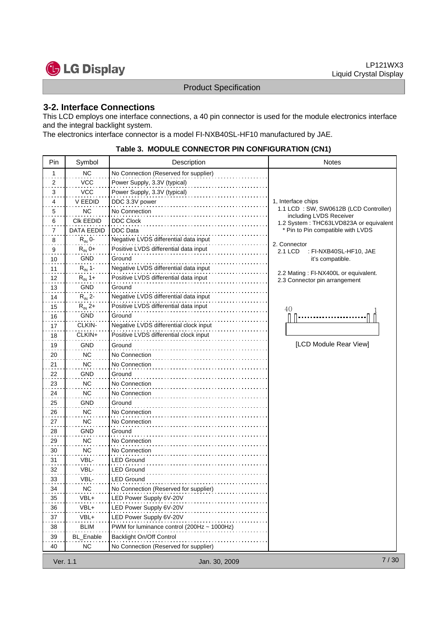

# **3-2. Interface Connections**

This LCD employs one interface connections, a 40 pin connector is used for the module electronics interface and the integral backlight system.

The electronics interface connector is a model FI-NXB40SL-HF10 manufactured by JAE.

### **Table 3. MODULE CONNECTOR PIN CONFIGURATION (CN1)**

| Pin                        | Symbol             | Description                                | <b>Notes</b>                                                          |
|----------------------------|--------------------|--------------------------------------------|-----------------------------------------------------------------------|
| 1                          | <b>NC</b>          | No Connection (Reserved for supplier)      |                                                                       |
| 2<br>. .                   | VCC                | Power Supply, 3.3V (typical)               |                                                                       |
| 3                          | <b>VCC</b>         | Power Supply, 3.3V (typical)               |                                                                       |
| 4                          | <b>V EEDID</b>     | DDC 3.3V power                             | 1, Interface chips                                                    |
| 5                          | <b>NC</b>          | No Connection                              | 1.1 LCD: SW, SW0612B (LCD Controller)                                 |
| 6                          | CIK EEDID          | <b>DDC Clock</b>                           | including LVDS Receiver<br>1.2 System: THC63LVD823A or equivalent     |
| 7                          | DATA EEDID         | <b>DDC</b> Data                            | * Pin to Pin compatible with LVDS                                     |
| 8                          | $R_{IN}$ 0-        | Negative LVDS differential data input      |                                                                       |
| 9                          | $R_{IN}$ 0+        | Positive LVDS differential data input      | 2. Connector<br>2.1 LCD<br>: FI-NXB40SL-HF10, JAE                     |
| 10                         | GND                | Ground                                     | it's compatible.                                                      |
| 11                         | $R_{IN}$ 1-        | Negative LVDS differential data input      |                                                                       |
| 12                         | $R_{\text{IN}}$ 1+ | Positive LVDS differential data input      | 2.2 Mating: FI-NX400L or equivalent.<br>2.3 Connector pin arrangement |
| 13                         | GND                | Ground                                     |                                                                       |
| 14                         | $R_{IN}$ 2-        | Negative LVDS differential data input      |                                                                       |
| 15                         | $R_{IN}$ 2+        | Positive LVDS differential data input      | 40                                                                    |
| 16                         | GND                | Ground                                     |                                                                       |
| 17                         | CLKIN-             | Negative LVDS differential clock input     |                                                                       |
| 18                         | CLKIN+             | Positive LVDS differential clock input     |                                                                       |
| 19                         | <b>GND</b>         | Ground                                     | [LCD Module Rear View]                                                |
| 20                         | <b>NC</b>          | No Connection                              |                                                                       |
| 21                         | <b>NC</b>          | No Connection                              |                                                                       |
| 22                         | GND                | Ground                                     |                                                                       |
| 23                         | NC.                | No Connection                              |                                                                       |
| 24                         | <b>NC</b>          | No Connection                              |                                                                       |
| 25                         | GND                | Ground                                     |                                                                       |
| 26                         | <b>NC</b>          | No Connection                              |                                                                       |
| 27                         | <b>NC</b>          | No Connection                              |                                                                       |
| 28                         | GND                | Ground                                     |                                                                       |
| 29                         | NC                 | No Connection                              |                                                                       |
| 30                         | NC.                | No Connection                              |                                                                       |
| 31                         | VBL-               | LED Ground                                 |                                                                       |
| 32                         | VBL-               | <b>LED Ground</b>                          |                                                                       |
| 33                         | VBL-               | LED Ground                                 |                                                                       |
| 34                         | <b>NC</b>          | No Connection (Reserved for supplier)      |                                                                       |
| $\sim$ $\sim$ $\sim$<br>35 | VBL+               | LED Power Supply 6V-20V                    |                                                                       |
| 36                         | VBL+               | LED Power Supply 6V-20V                    |                                                                       |
| 37                         | VBL+               | LED Power Supply 6V-20V                    |                                                                       |
| 38                         | <b>BLIM</b>        | PWM for luminance control (200Hz ~ 1000Hz) |                                                                       |
| 39                         | <b>BL_Enable</b>   | Backlight On/Off Control                   |                                                                       |
| 40                         | NC.                | No Connection (Reserved for supplier)      |                                                                       |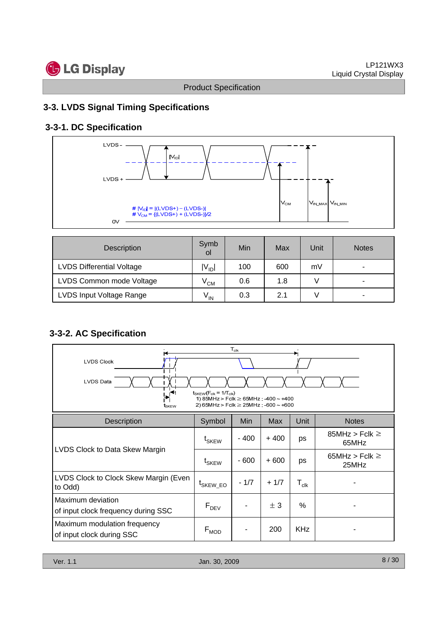# **3-3. LVDS Signal Timing Specifications**

# **3-3-1. DC Specification**



| Description                      | Symb<br>οl      | Min | Max | <b>Unit</b> | <b>Notes</b> |
|----------------------------------|-----------------|-----|-----|-------------|--------------|
| <b>LVDS Differential Voltage</b> | $V_{\text{ID}}$ | 100 | 600 | mV          | ۰            |
| LVDS Common mode Voltage         | $\rm V_{CM}$    | 0.6 | 1.8 |             |              |
| LVDS Input Voltage Range         | $V_{IN}$        | 0.3 | 2.1 |             | ۰            |

# **3-3-2. AC Specification**

| $T_{\rm{clk}}$<br><b>LVDS Clock</b><br><b>LVDS Data</b><br>$t_{SKFW}(F_{clk} = 1/T_{clk})$<br>$\mathcal{F}$<br>1) 85MHz > Fclk $\geq$ 65MHz : -400 ~ +400<br>2) 65MHz > Fclk $\geq$ 25MHz : -600 ~ +600<br>t <sub>skew</sub> |                              |            |        |                             |                              |  |  |
|------------------------------------------------------------------------------------------------------------------------------------------------------------------------------------------------------------------------------|------------------------------|------------|--------|-----------------------------|------------------------------|--|--|
| <b>Description</b>                                                                                                                                                                                                           | Symbol                       | <b>Min</b> | Max    | Unit                        | <b>Notes</b>                 |  |  |
|                                                                                                                                                                                                                              | t <sub>SKEW</sub>            | $-400$     | $+400$ | ps                          | 85MHz > Fclk $\geq$<br>65MHz |  |  |
| LVDS Clock to Data Skew Margin                                                                                                                                                                                               | $\mathsf{t}_{\mathsf{SKEW}}$ | $-600$     | $+600$ | ps                          | 65MHz > Fclk $\geq$<br>25MHz |  |  |
| LVDS Clock to Clock Skew Margin (Even<br>to Odd)                                                                                                                                                                             | <sup>L</sup> SKEW_EO         | $-1/7$     | $+1/7$ | $\mathsf{T}_{\mathsf{clk}}$ |                              |  |  |
| Maximum deviation<br>of input clock frequency during SSC                                                                                                                                                                     | $F_{DEV}$                    |            | ± 3    | %                           |                              |  |  |
| Maximum modulation frequency<br>of input clock during SSC                                                                                                                                                                    | $F_{MOD}$                    |            | 200    | <b>KHz</b>                  |                              |  |  |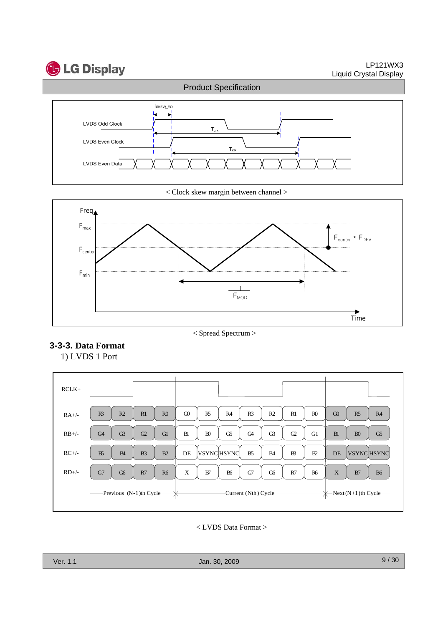



< Clock skew margin between channel >



< Spread Spectrum >

# **3-3-3. Data Format**

1) LVDS 1 Port



< LVDS Data Format >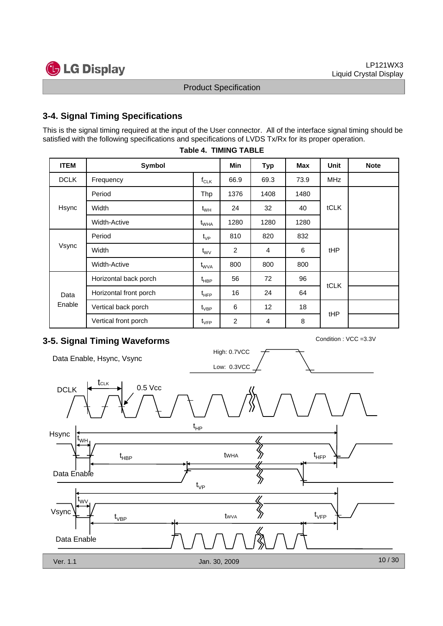# **3-4. Signal Timing Specifications**

This is the signal timing required at the input of the User connector. All of the interface signal timing should be satisfied with the following specifications and specifications of LVDS Tx/Rx for its proper operation.

| <b>ITEM</b> | Symbol                 |                               | Min  | <b>Typ</b>      | Max  | Unit        | <b>Note</b> |
|-------------|------------------------|-------------------------------|------|-----------------|------|-------------|-------------|
| <b>DCLK</b> | Frequency              | $f_{CLK}$                     | 66.9 | 69.3            | 73.9 | <b>MHz</b>  |             |
|             | Period                 | Thp                           | 1376 | 1408            | 1480 |             |             |
| Hsync       | Width                  | $t_{WH}$                      | 24   | 32              | 40   | tCLK        |             |
|             | <b>Width-Active</b>    | $t_{\text{WHA}}$              | 1280 | 1280            | 1280 |             |             |
|             | Period                 | $\mathfrak{t}_{\mathsf{VP}}$  | 810  | 820             | 832  |             |             |
| Vsync       | Width                  | $t_{\rm WV}$                  | 2    | 4               | 6    | tHP         |             |
|             | Width-Active           | $\mathsf{t}_{\mathsf{WVA}}$   | 800  | 800             | 800  |             |             |
|             | Horizontal back porch  | $t_{\sf HBP}$                 | 56   | 72              | 96   | <b>tCLK</b> |             |
| Data        | Horizontal front porch | $t_{\text{HFP}}$              | 16   | 24              | 64   |             |             |
| Enable      | Vertical back porch    | $\mathfrak{t}_{\mathsf{VBP}}$ | 6    | 12 <sup>°</sup> | 18   | tHP         |             |
|             | Vertical front porch   | $t_{\rm VFP}$                 | 2    | 4               | 8    |             |             |

### **Table 4. TIMING TABLE**

# **3-5. Signal Timing Waveforms** Condition : VCC =3.3V

Data Enable, Hsync, Vsync



Low: 0.3VCC High: 0.7VCC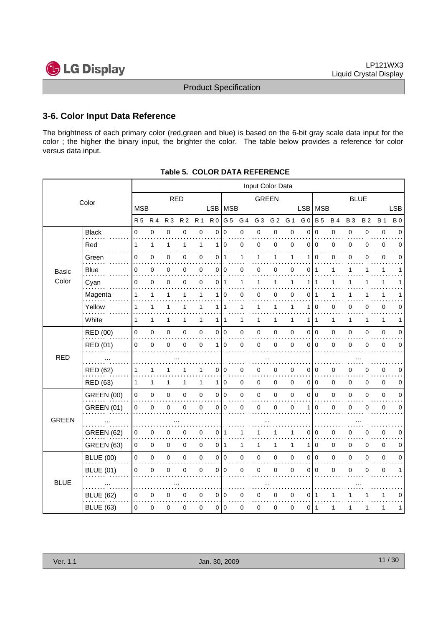# **3-6. Color Input Data Reference**

The brightness of each primary color (red,green and blue) is based on the 6-bit gray scale data input for the color ; the higher the binary input, the brighter the color. The table below provides a reference for color versus data input.

|              | Input Color Data  |              |              |              |                |              |                |                |              |                |                |             |                |                |             |             |           |             |             |
|--------------|-------------------|--------------|--------------|--------------|----------------|--------------|----------------|----------------|--------------|----------------|----------------|-------------|----------------|----------------|-------------|-------------|-----------|-------------|-------------|
|              | Color             |              |              | <b>RED</b>   |                |              |                |                |              | <b>GREEN</b>   |                |             |                | <b>BLUE</b>    |             |             |           |             |             |
|              |                   | <b>MSB</b>   |              |              |                |              | LSB MSB        |                |              |                |                | <b>LSB</b>  | MSB            |                |             |             |           | <b>LSB</b>  |             |
|              |                   | <b>R5</b>    | <b>R4</b>    | <b>R3</b>    | R <sub>2</sub> | <b>R</b> 1   | R <sub>0</sub> | G <sub>5</sub> | G 4          | G <sub>3</sub> | G <sub>2</sub> | G 1         | G <sub>0</sub> | <b>B</b> 5     | <b>B4</b>   | <b>B3</b>   | <b>B2</b> | <b>B</b> 1  | <b>B</b> 0  |
|              | <b>Black</b><br>. | 0            | $\mathbf 0$  | 0            | 0              | $\mathbf 0$  | 0              | $\mathbf 0$    | 0            | 0              | 0              | $\mathbf 0$ | $\mathbf 0$    | $\mathbf 0$    | $\pmb{0}$   | $\mathbf 0$ | 0         | $\pmb{0}$   | $\mathbf 0$ |
|              | Red               | 1            | $\mathbf{1}$ | 1            | 1              | 1            | 1              | $\mathbf 0$    | 0            | 0              | 0              | 0           | 0              | $\mathbf 0$    | 0           | 0           | 0         | 0           | 0           |
|              | Green             | 0            | 0            | 0            | 0              | $\mathbf 0$  | 0              | $\mathbf{1}$   | 1            | $\mathbf{1}$   | 1              | 1           | 1              | $\mathbf 0$    | $\mathbf 0$ | 0           | 0         | $\mathbf 0$ | $\Omega$    |
| <b>Basic</b> | Blue              | 0            | 0            | 0            | 0              | 0            | 0              | $\pmb{0}$      | 0            | 0              | 0              | 0           | 0              | -1             | 1           | 1           | 1         | 1           | 1           |
| Color        | Cyan              | 0            | $\mathbf 0$  | 0            | 0              | $\mathbf 0$  | 0              | $\mathbf{1}$   | 1            | 1              | $\mathbf{1}$   | 1           | 1              | 1              | 1           | 1           | 1         | 1           |             |
|              | Magenta           | 1            | 1            | 1            | 1              | 1            | 1              | $\mathbf 0$    | 0            | 0              | 0              | 0           | 0              | $\mathbf 1$    | 1           | 1           |           | 1           |             |
|              | Yellow            | $\mathbf{1}$ | $\mathbf{1}$ | 1            | 1              | 1            |                | 111            | $\mathbf{1}$ | 1              | $\mathbf{1}$   | 1           | 1              | $\mathbf 0$    | 0           | 0           | 0         | $\mathbf 0$ | $\Omega$    |
|              | White             | $\mathbf{1}$ | $\mathbf{1}$ | $\mathbf{1}$ | 1              | $\mathbf{1}$ | 1 I            | $\mathbf{1}$   | 1            | $\mathbf{1}$   | $\mathbf{1}$   | 1           | 1              | $\overline{1}$ | 1           | 1           | 1         | 1           | 1           |
|              | RED (00)          | $\mathbf 0$  | 0            | 0            | 0              | $\pmb{0}$    | $\overline{0}$ | l o            | 0            | $\pmb{0}$      | 0              | $\mathbf 0$ | 0              | I٥             | $\mathbf 0$ | 0           | 0         | $\pmb{0}$   | 0           |
|              | RED (01)          | 0            | $\Omega$     | 0            | 0              | 0            | $\mathbf{1}$   | $\Omega$       | 0            | $\mathbf 0$    | 0              | $\mathbf 0$ | 0              | 0 I            | $\pmb{0}$   | 0           | $\Omega$  | 0           | $\Omega$    |
| <b>RED</b>   |                   |              |              |              |                |              |                |                |              |                |                |             |                |                |             |             |           |             |             |
|              | <b>RED (62)</b>   | 1            | 1            | 1            |                | 1            | 0              | 0              | 0            | 0              | 0              | 0           | 0              | $\mathbf 0$    | 0           | 0           | 0         | 0           | 0           |
|              | RED (63)          | $\mathbf{1}$ | 1            | 1            | 1              | $\mathbf{1}$ | 1 <sup>1</sup> | $\mathbf 0$    | 0            | 0              | 0              | $\mathbf 0$ |                | 010            | 0           | 0           | 0         | $\mathbf 0$ | 0           |
|              | <b>GREEN (00)</b> | 0            | 0            | $\pmb{0}$    | 0              | $\mathsf 0$  |                | 0 0            | 0            | $\pmb{0}$      | 0              | $\mathbf 0$ | 0              | I٥             | $\pmb{0}$   | 0           | 0         | $\mathbf 0$ | 0           |
|              | <b>GREEN (01)</b> | 0            | $\mathbf 0$  | 0            | 0              | $\mathbf 0$  | 0              | $\mathbf 0$    | 0            | $\mathbf 0$    | $\mathbf 0$    | $\mathbf 0$ | 1              | $\mathbf 0$    | 0           | 0           | 0         | 0           | $\mathbf 0$ |
| <b>GREEN</b> |                   |              |              |              |                |              |                |                |              |                |                |             |                |                |             |             |           |             |             |
|              | <b>GREEN (62)</b> | 0            | 0            | 0            | 0              | $\mathbf 0$  | 0              | 1              | 1            |                | 1              | 1           | 0              | $\mathbf 0$    | 0           | 0           | 0         | $\mathbf 0$ | $\mathbf 0$ |
|              | <b>GREEN (63)</b> | 0            | $\mathbf 0$  | 0            | 0              | $\mathbf 0$  | 0              | $\mathbf{1}$   | 1            | 1              | $\mathbf{1}$   | 1           | 1              | $\mathbf 0$    | $\mathbf 0$ | 0           | 0         | 0           | 0           |
|              | <b>BLUE (00)</b>  | $\mathbf 0$  | 0            | $\pmb{0}$    | 0              | $\pmb{0}$    |                | 0 0            | 0            | $\pmb{0}$      | 0              | $\mathbf 0$ | 0              | I٥             | $\mathbf 0$ | 0           | 0         | $\pmb{0}$   | $\mathbf 0$ |
|              | <b>BLUE (01)</b>  | 0            | $\Omega$     | 0            | 0              | $\mathbf 0$  | 0              | $\mathbf 0$    | 0            | 0              | 0              | 0           | 0              | $\Omega$       | $\mathbf 0$ | 0           | 0         | 0           |             |
| <b>BLUE</b>  |                   |              |              |              |                |              |                |                |              |                |                |             |                |                |             |             |           |             |             |
|              | <b>BLUE (62)</b>  | 0            | 0            | 0            | 0              | 0            | 0              | $\mathbf 0$    | 0            | $\Omega$       | 0              | $\mathbf 0$ | 0              | -1             | 1           |             |           | 1           | $\Omega$    |
|              | <b>BLUE (63)</b>  | 0            | 0            | 0            | 0              | 0            | $\overline{0}$ | $\mathbf 0$    | 0            | 0              | 0              | $\mathbf 0$ | 011            |                | 1           | 1           | 1         | 1           | 1           |

### **Table 5. COLOR DATA REFERENCE**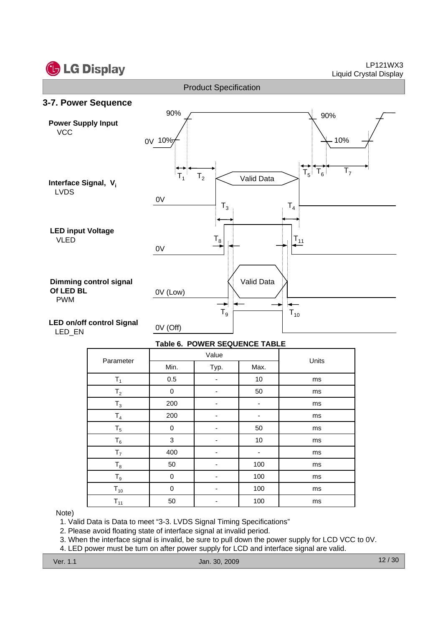



### **Table 6. POWER SEQUENCE TABLE**

| Parameter      |      | Value |      | Units |
|----------------|------|-------|------|-------|
|                | Min. | Typ.  | Max. |       |
| $T_1$          | 0.5  |       | 10   | ms    |
| T <sub>2</sub> | 0    |       | 50   | ms    |
| $T_3$          | 200  | ٠     | ۰    | ms    |
| T <sub>4</sub> | 200  | ٠     | ٠    | ms    |
| $T_5$          | 0    |       | 50   | ms    |
| $T_6$          | 3    |       | $10$ | ms    |
| T <sub>7</sub> | 400  | ٠     | ۰    | ms    |
| $T_8$          | 50   |       | 100  | ms    |
| $T_9$          | 0    |       | 100  | ms    |
| $T_{10}$       | 0    | -     | 100  | ms    |
| $T_{11}$       | 50   |       | 100  | ms    |

Note)

1. Valid Data is Data to meet "3-3. LVDS Signal Timing Specifications"

2. Please avoid floating state of interface signal at invalid period.

3. When the interface signal is invalid, be sure to pull down the power supply for LCD VCC to 0V.

4. LED power must be turn on after power supply for LCD and interface signal are valid.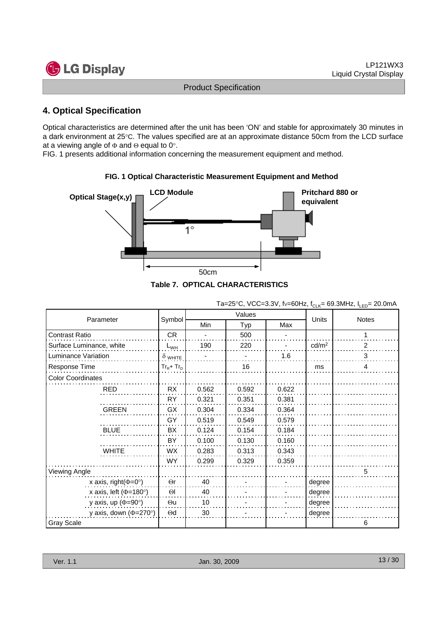

# **4. Optical Specification**

Optical characteristics are determined after the unit has been 'ON' and stable for approximately 30 minutes in a dark environment at 25°C. The values specified are at an approximate distance 50cm from the LCD surface at a viewing angle of  $\Phi$  and  $\Theta$  equal to 0°.

FIG. 1 presents additional information concerning the measurement equipment and method.



**FIG. 1 Optical Characteristic Measurement Equipment and Method**



|                                     |                |            |        |       | ◡੶੶               |                |
|-------------------------------------|----------------|------------|--------|-------|-------------------|----------------|
|                                     |                |            | Values |       |                   |                |
| Parameter                           | Symbol         | <b>Min</b> | Typ    | Max   | Units             | <b>Notes</b>   |
| <b>Contrast Ratio</b>               | <b>CR</b>      |            | 500    |       |                   |                |
| Surface Luminance, white            | $L_{WH}$       | 190        | 220    |       | cd/m <sup>2</sup> | 2              |
| Luminance Variation                 | $\delta$ white |            |        | 1.6   |                   | 3              |
| Response Time                       | $Tr_R + Tr_D$  |            | 16     |       | ms                | $\overline{4}$ |
| <b>Color Coordinates</b>            |                |            |        |       |                   |                |
| <b>RED</b>                          | <b>RX</b>      | 0.562      | 0.592  | 0.622 |                   |                |
|                                     | <b>RY</b>      | 0.321      | 0.351  | 0.381 |                   |                |
| <b>GREEN</b>                        | GX             | 0.304      | 0.334  | 0.364 |                   |                |
|                                     | GY             | 0.519      | 0.549  | 0.579 |                   |                |
| <b>BLUE</b>                         | BX             | 0.124      | 0.154  | 0.184 |                   |                |
|                                     | BY             | 0.100      | 0.130  | 0.160 |                   |                |
| <b>WHITE</b>                        | WX             | 0.283      | 0.313  | 0.343 |                   |                |
|                                     | <b>WY</b>      | 0.299      | 0.329  | 0.359 |                   |                |
| Viewing Angle                       |                |            |        |       |                   | 5              |
| x axis, right( $\Phi$ =0°)          | $\Theta$ r     | 40         |        |       | degree            |                |
| x axis, left ( $\Phi$ =180°)        | $\Theta$       | 40         |        |       | degree            |                |
| y axis, up ( $\Phi$ =90°)           | $\Theta$ u     | 10         |        |       | degree            |                |
| y axis, down $(\Phi = 270^{\circ})$ | $\Theta$ d     | 30         |        |       | degree            |                |
| <b>Gray Scale</b>                   |                |            |        |       |                   | 6              |

Ta=25°C, VCC=3.3V, fv=60Hz,  $f_{CLK}$ = 69.3MHz,  $I_{LED}$ = 20.0mA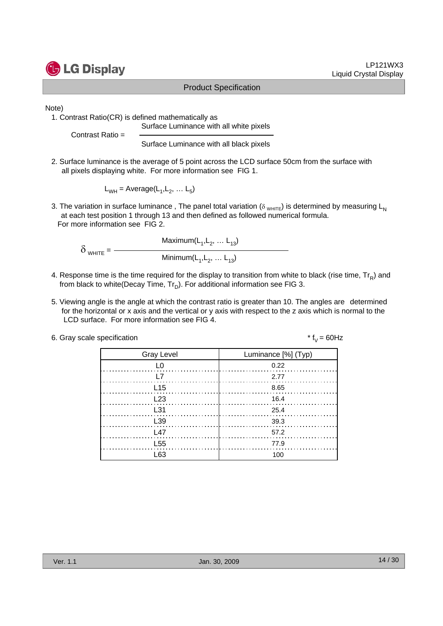

Note)

1. Contrast Ratio(CR) is defined mathematically as

Surface Luminance with all white pixels

Contrast Ratio =

Surface Luminance with all black pixels

2. Surface luminance is the average of 5 point across the LCD surface 50cm from the surface with all pixels displaying white. For more information see FIG 1.

 $L_{WH}$  = Average( $L_1, L_2, ... L_n$ )

3. The variation in surface luminance, The panel total variation ( $\delta_{WHTE}$ ) is determined by measuring L<sub>N</sub> at each test position 1 through 13 and then defined as followed numerical formula. For more information see FIG 2.

Maximum $(L_1, L_2, ... L_{13})$  $\delta$  <sub>WHITE</sub> =  $-$ Minimum $(L_1, L_2, ... L_{13})$ 

- 4. Response time is the time required for the display to transition from white to black (rise time,  $Tr_R$ ) and from black to white(Decay Time,  $Tr_D$ ). For additional information see FIG 3.
- 5. Viewing angle is the angle at which the contrast ratio is greater than 10. The angles are determined for the horizontal or x axis and the vertical or y axis with respect to the z axis which is normal to the LCD surface. For more information see FIG 4.
- 6. Gray scale specification  $* f_V = 60 Hz$

| <b>Gray Level</b> | Luminance [%] (Typ) |
|-------------------|---------------------|
|                   | 0.22                |
| I 7               | 2.77                |
| L <sub>15</sub>   | 8.65                |
| L23               | 16.4                |
| L31               | 25.4                |
| L <sub>39</sub>   | 39.3                |
| 147               | 57.2                |
| L <sub>55</sub>   | 77.9                |
| -63               | 1ሰበ                 |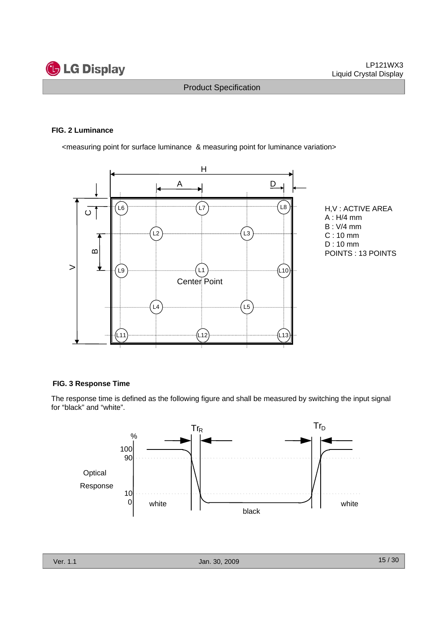

### **FIG. 2 Luminance**

<measuring point for surface luminance & measuring point for luminance variation>



H,V : ACTIVE AREA A : H/4 mm B : V/4 mm C : 10 mm D : 10 mm POINTS : 13 POINTS

### **FIG. 3 Response Time**

The response time is defined as the following figure and shall be measured by switching the input signal for "black" and "white".

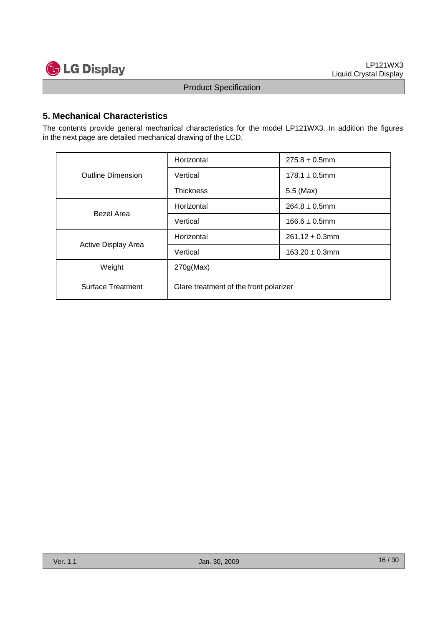

# **5. Mechanical Characteristics**

The contents provide general mechanical characteristics for the model LP121WX3. In addition the figures in the next page are detailed mechanical drawing of the LCD.

|                          | Horizontal                             | $275.8 \pm 0.5$ mm  |  |  |  |  |
|--------------------------|----------------------------------------|---------------------|--|--|--|--|
| <b>Outline Dimension</b> | Vertical                               | $178.1 \pm 0.5$ mm  |  |  |  |  |
|                          | <b>Thickness</b>                       | 5.5 (Max)           |  |  |  |  |
| <b>Bezel Area</b>        | Horizontal                             | $264.8 \pm 0.5$ mm  |  |  |  |  |
|                          | Vertical                               | $166.6 \pm 0.5$ mm  |  |  |  |  |
|                          | Horizontal                             | $261.12 \pm 0.3$ mm |  |  |  |  |
| Active Display Area      | Vertical                               | 163.20 $\pm$ 0.3mm  |  |  |  |  |
| Weight                   | 270g(Max)                              |                     |  |  |  |  |
| <b>Surface Treatment</b> | Glare treatment of the front polarizer |                     |  |  |  |  |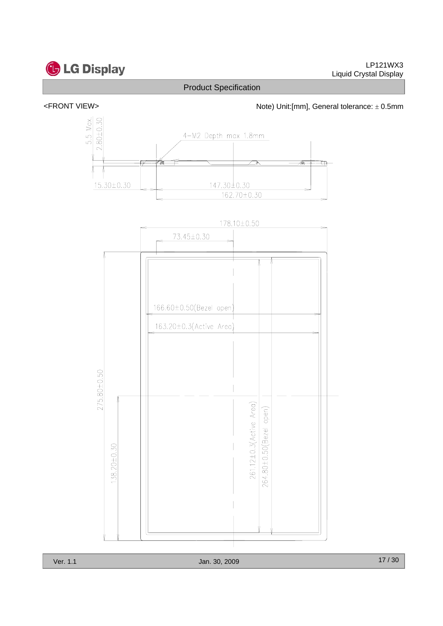

<FRONT VIEW>  $\blacksquare$  Note) Unit:[mm], General tolerance:  $\pm$  0.5mm



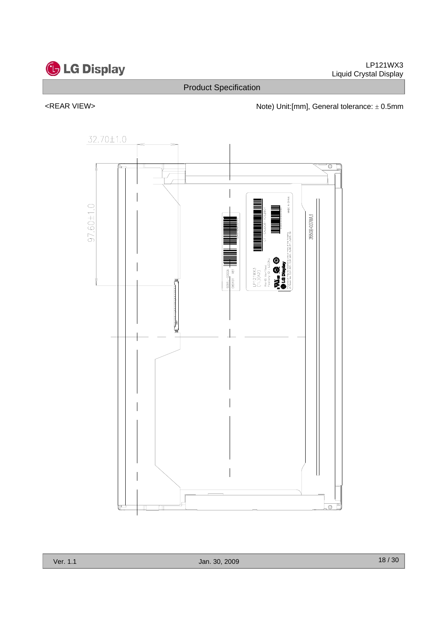

<REAR VIEW>  $\blacksquare$  Note) Unit:[mm], General tolerance:  $\pm$  0.5mm

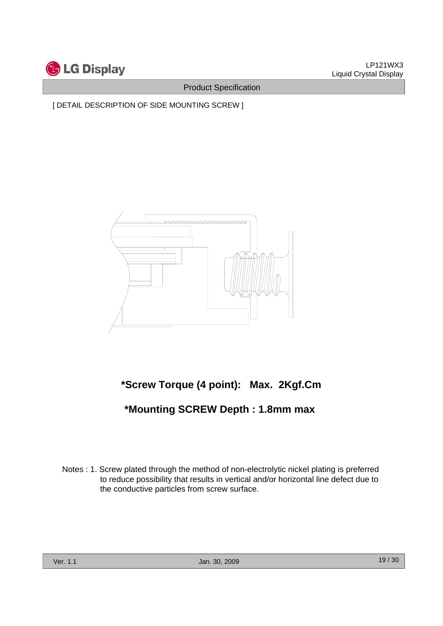

[ DETAIL DESCRIPTION OF SIDE MOUNTING SCREW ]



# **\*Screw Torque (4 point): Max. 2Kgf.Cm**

# **\*Mounting SCREW Depth : 1.8mm max**

Notes : 1. Screw plated through the method of non-electrolytic nickel plating is preferred to reduce possibility that results in vertical and/or horizontal line defect due to the conductive particles from screw surface.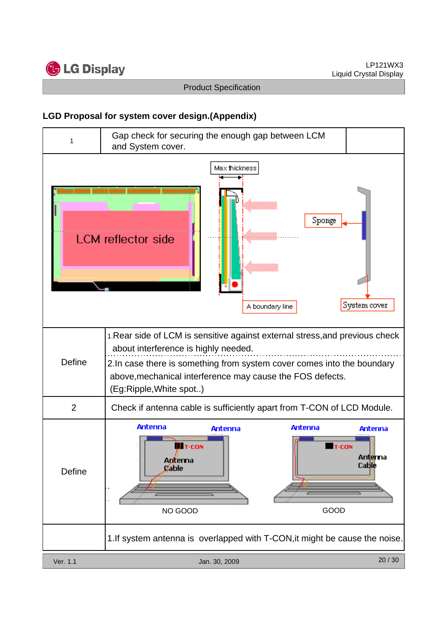

# **LGD Proposal for system cover design.(Appendix)**

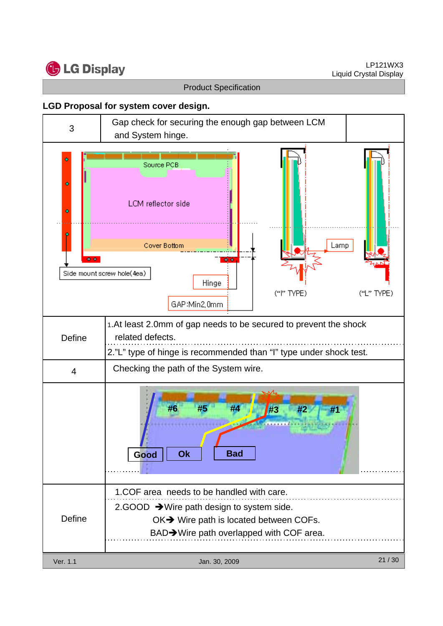

# **LGD Proposal for system cover design.**

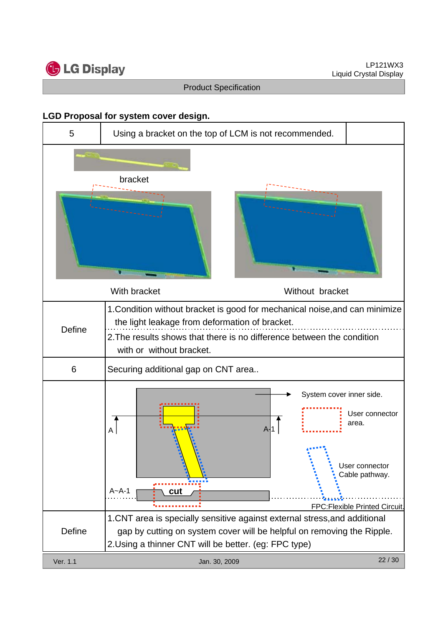

# **LGD Proposal for system cover design.**

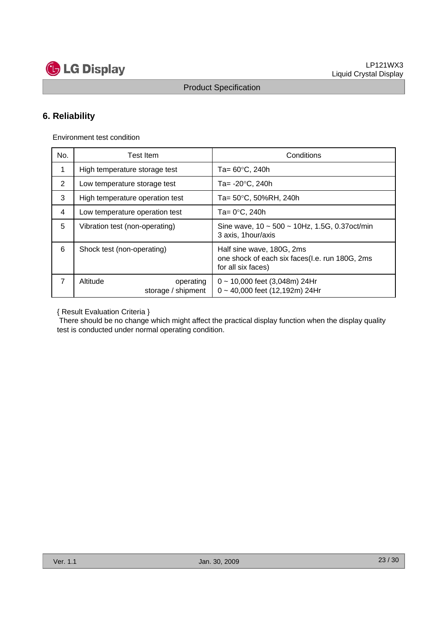

# **6. Reliability**

Environment test condition

| No.            | <b>Test Item</b>                            | Conditions                                                                                        |
|----------------|---------------------------------------------|---------------------------------------------------------------------------------------------------|
| 1              | High temperature storage test               | Ta= 60°C, 240h                                                                                    |
| $\overline{2}$ | Low temperature storage test                | Ta= -20°C, 240h                                                                                   |
| 3              | High temperature operation test             | Ta= 50°C, 50%RH, 240h                                                                             |
| 4              | Low temperature operation test              | Ta= 0°C, 240h                                                                                     |
| 5              | Vibration test (non-operating)              | Sine wave, $10 \sim 500 \sim 10$ Hz, 1.5G, 0.37 oct/min<br>3 axis, 1 hour/axis                    |
| 6              | Shock test (non-operating)                  | Half sine wave, 180G, 2ms<br>one shock of each six faces(I.e. run 180G, 2ms<br>for all six faces) |
| 7              | Altitude<br>operating<br>storage / shipment | $0 \sim 10,000$ feet (3,048m) 24Hr<br>0~40,000 feet (12,192m) 24Hr                                |

{ Result Evaluation Criteria }

There should be no change which might affect the practical display function when the display quality test is conducted under normal operating condition.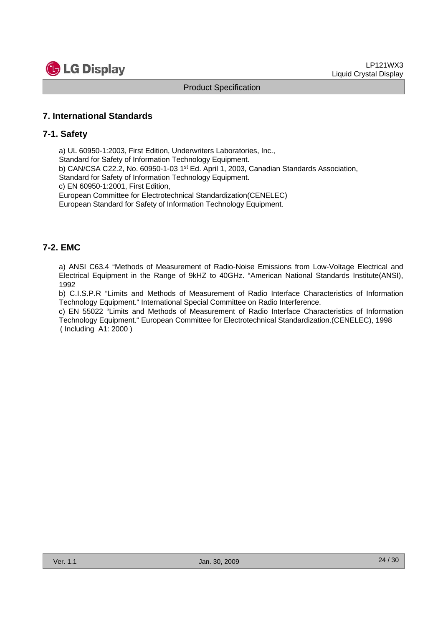

# **7. International Standards**

### **7-1. Safety**

a) UL 60950-1:2003, First Edition, Underwriters Laboratories, Inc.,

Standard for Safety of Information Technology Equipment.

b) CAN/CSA C22.2, No. 60950-1-03 1st Ed. April 1, 2003, Canadian Standards Association,

Standard for Safety of Information Technology Equipment.

c) EN 60950-1:2001, First Edition,

European Committee for Electrotechnical Standardization(CENELEC)

European Standard for Safety of Information Technology Equipment.

# **7-2. EMC**

a) ANSI C63.4 "Methods of Measurement of Radio-Noise Emissions from Low-Voltage Electrical and Electrical Equipment in the Range of 9kHZ to 40GHz. "American National Standards Institute(ANSI), 1992

b) C.I.S.P.R "Limits and Methods of Measurement of Radio Interface Characteristics of Information Technology Equipment." International Special Committee on Radio Interference.

c) EN 55022 "Limits and Methods of Measurement of Radio Interface Characteristics of Information Technology Equipment." European Committee for Electrotechnical Standardization.(CENELEC), 1998 ( Including A1: 2000 )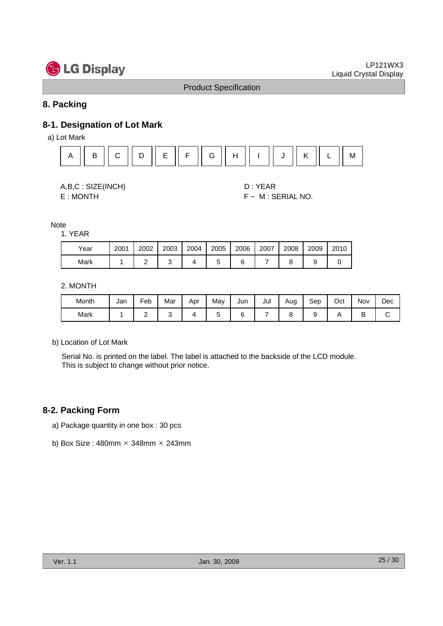

# **8. Packing**

# **8-1. Designation of Lot Mark**

a) Lot Mark



A,B,C : SIZE(INCH) D : YEAR

E : MONTH F ~ M : SERIAL NO.

### **Note**

### 1. YEAR

| Year | 2001 | 2002 | 2003 | 2004 | 2005 | 2006 | 2007 | 2008 | 2009 | 2010 |
|------|------|------|------|------|------|------|------|------|------|------|
| Mark |      |      |      |      |      |      |      |      |      |      |

### 2. MONTH

| Month | Jan | Feb | Mar | Apr | May | Jun | Jul | Aug | Sep | Oct | Nov | Dec |
|-------|-----|-----|-----|-----|-----|-----|-----|-----|-----|-----|-----|-----|
| Mark  |     |     |     |     |     |     |     |     |     |     | ╺   |     |

### b) Location of Lot Mark

Serial No. is printed on the label. The label is attached to the backside of the LCD module. This is subject to change without prior notice.

# **8-2. Packing Form**

- a) Package quantity in one box : 30 pcs
- b) Box Size:  $480$ mm  $\times$  348mm  $\times$  243mm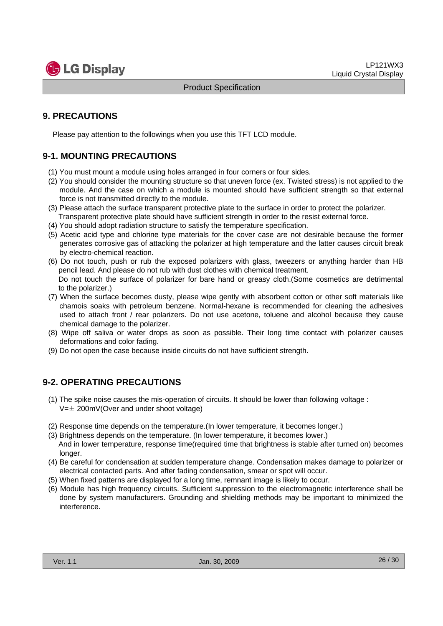

# **9. PRECAUTIONS**

Please pay attention to the followings when you use this TFT LCD module.

# **9-1. MOUNTING PRECAUTIONS**

- (1) You must mount a module using holes arranged in four corners or four sides.
- (2) You should consider the mounting structure so that uneven force (ex. Twisted stress) is not applied to the module. And the case on which a module is mounted should have sufficient strength so that external force is not transmitted directly to the module.
- (3) Please attach the surface transparent protective plate to the surface in order to protect the polarizer. Transparent protective plate should have sufficient strength in order to the resist external force.
- (4) You should adopt radiation structure to satisfy the temperature specification.
- (5) Acetic acid type and chlorine type materials for the cover case are not desirable because the former generates corrosive gas of attacking the polarizer at high temperature and the latter causes circuit break by electro-chemical reaction.
- (6) Do not touch, push or rub the exposed polarizers with glass, tweezers or anything harder than HB pencil lead. And please do not rub with dust clothes with chemical treatment. Do not touch the surface of polarizer for bare hand or greasy cloth.(Some cosmetics are detrimental
- to the polarizer.) (7) When the surface becomes dusty, please wipe gently with absorbent cotton or other soft materials like chamois soaks with petroleum benzene. Normal-hexane is recommended for cleaning the adhesives used to attach front / rear polarizers. Do not use acetone, toluene and alcohol because they cause chemical damage to the polarizer.
- (8) Wipe off saliva or water drops as soon as possible. Their long time contact with polarizer causes deformations and color fading.
- (9) Do not open the case because inside circuits do not have sufficient strength.

# **9-2. OPERATING PRECAUTIONS**

- (1) The spike noise causes the mis-operation of circuits. It should be lower than following voltage :  $V=\pm 200$ mV(Over and under shoot voltage)
- (2) Response time depends on the temperature.(In lower temperature, it becomes longer.)
- (3) Brightness depends on the temperature. (In lower temperature, it becomes lower.) And in lower temperature, response time(required time that brightness is stable after turned on) becomes longer.
- (4) Be careful for condensation at sudden temperature change. Condensation makes damage to polarizer or electrical contacted parts. And after fading condensation, smear or spot will occur.
- (5) When fixed patterns are displayed for a long time, remnant image is likely to occur.
- (6) Module has high frequency circuits. Sufficient suppression to the electromagnetic interference shall be done by system manufacturers. Grounding and shielding methods may be important to minimized the interference.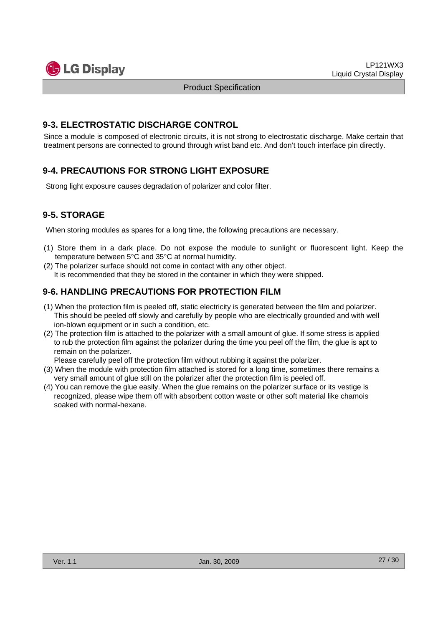

### **9-3. ELECTROSTATIC DISCHARGE CONTROL**

Since a module is composed of electronic circuits, it is not strong to electrostatic discharge. Make certain that treatment persons are connected to ground through wrist band etc. And don't touch interface pin directly.

# **9-4. PRECAUTIONS FOR STRONG LIGHT EXPOSURE**

Strong light exposure causes degradation of polarizer and color filter.

# **9-5. STORAGE**

When storing modules as spares for a long time, the following precautions are necessary.

- (1) Store them in a dark place. Do not expose the module to sunlight or fluorescent light. Keep the temperature between 5°C and 35°C at normal humidity.
- (2) The polarizer surface should not come in contact with any other object. It is recommended that they be stored in the container in which they were shipped.

# **9-6. HANDLING PRECAUTIONS FOR PROTECTION FILM**

- (1) When the protection film is peeled off, static electricity is generated between the film and polarizer. This should be peeled off slowly and carefully by people who are electrically grounded and with well ion-blown equipment or in such a condition, etc.
- (2) The protection film is attached to the polarizer with a small amount of glue. If some stress is applied to rub the protection film against the polarizer during the time you peel off the film, the glue is apt to remain on the polarizer.

Please carefully peel off the protection film without rubbing it against the polarizer.

- (3) When the module with protection film attached is stored for a long time, sometimes there remains a very small amount of glue still on the polarizer after the protection film is peeled off.
- (4) You can remove the glue easily. When the glue remains on the polarizer surface or its vestige is recognized, please wipe them off with absorbent cotton waste or other soft material like chamois soaked with normal-hexane.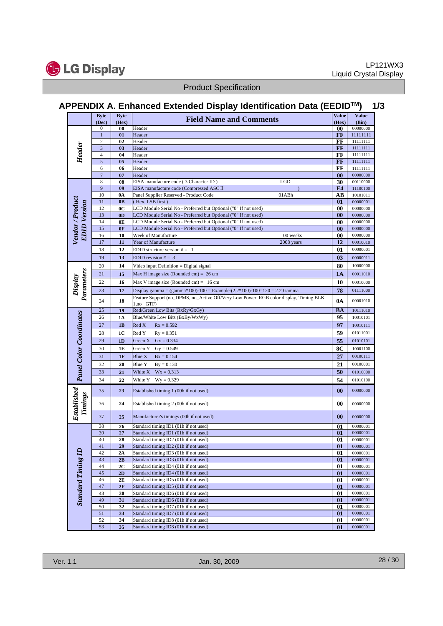

**G** LG Display

Product Specification

# **APPENDIX A. Enhanced Extended Display Identification Data (EEDIDTM) 1/3**

|                                                       | <b>Byte</b><br>(Dec) | <b>Byte</b><br>(Hex) | <b>Field Name and Comments</b>                                                                          | <b>Value</b><br>(Hex)   | <b>Value</b><br>(Bin) |
|-------------------------------------------------------|----------------------|----------------------|---------------------------------------------------------------------------------------------------------|-------------------------|-----------------------|
|                                                       | 0                    | $\bf{00}$            | Header                                                                                                  | 00                      | 00000000              |
|                                                       | $\mathbf{1}$         | 01                   | Header                                                                                                  | FF                      | 11111111              |
|                                                       | $\overline{c}$       | 02                   | Header                                                                                                  | FF                      | 11111111              |
|                                                       | $\mathbf{3}$         | 03                   | Header                                                                                                  | FF                      | 11111111              |
| Header                                                | $\overline{4}$       | 04                   | Header                                                                                                  | FF                      | 11111111              |
|                                                       | 5                    | 0 <sub>5</sub>       | Header                                                                                                  | FF                      | 11111111              |
|                                                       | 6                    | 06                   | Header                                                                                                  | FF                      | 11111111              |
|                                                       | $\overline{7}$       | 07                   | Header                                                                                                  | $\bf{00}$               | 00000000              |
|                                                       | 8                    | 08                   | EISA manufacture code (3 Character ID)<br>$_{\rm LGD}$                                                  | 30                      | 00110000              |
|                                                       | 9                    | 09                   | EISA manufacture code (Compressed ASC II                                                                | E4                      | 11100100              |
|                                                       | 10<br>11             | 0A<br>0B             | Panel Supplier Reserved - Product Code<br>01ABh<br>(Hex. LSB first)                                     | AB<br>01                | 10101011<br>00000001  |
| Vendor / Product<br><b>EDID</b> Version               | 12                   | 0 <sup>C</sup>       | LCD Module Serial No - Preferred but Optional ("0" If not used)                                         | 00                      | 00000000              |
|                                                       | 13                   | 0 <sub>D</sub>       | LCD Module Serial No - Preferred but Optional ("0" If not used)                                         | 00                      | 00000000              |
|                                                       | 14                   | 0E                   | LCD Module Serial No - Preferred but Optional ("0" If not used)                                         | $\boldsymbol{00}$       | 00000000              |
|                                                       | 15                   | 0F                   | LCD Module Serial No - Preferred but Optional ("0" If not used)                                         | 00                      | 00000000              |
|                                                       | 16                   | 10                   | Week of Manufacture<br>00 weeks                                                                         | $\boldsymbol{00}$       | 00000000              |
|                                                       | 17                   | 11                   | Year of Manufacture<br>2008 years                                                                       | 12                      | 00010010              |
|                                                       | 18                   | 12                   | EDID structure version $# = 1$                                                                          | 01                      | 00000001              |
|                                                       | 19                   | 13                   | EDID revision $# = 3$                                                                                   | 0 <sub>3</sub>          | 00000011              |
|                                                       | 20                   | 14                   |                                                                                                         | 80                      | 10000000              |
|                                                       |                      |                      | Video input Definition = Digital signal                                                                 |                         |                       |
|                                                       | 21                   | 15                   | Max H image size (Rounded cm) = $26$ cm                                                                 | 1A                      | 00011010              |
| Display                                               | 22                   | 16                   | Max V image size (Rounded cm) = $16 \text{ cm}$                                                         | 10                      | 00010000              |
|                                                       | 23                   | 17                   | Display gamma = $(gamma*100)-100$ = Example: $(2.2*100)-100=120$ = 2.2 Gamma                            | 78                      | 01111000              |
| Parameters                                            | 24                   | 18                   | Feature Support (no_DPMS, no_Active Off/Very Low Power, RGB color display, Timing BLK<br>$1, no_G$ GTF) | 0A                      | 00001010              |
|                                                       | 25                   | 19                   | Red/Green Low Bits (RxRy/GxGy)                                                                          | BA                      | 10111010              |
|                                                       | 26                   | 1A                   | Blue/White Low Bits (BxBy/WxWy)                                                                         | 95                      | 10010101              |
|                                                       | 27                   | 1B                   | Red X<br>$Rx = 0.592$                                                                                   | 97                      | 10010111              |
|                                                       | 28                   | 1 <sub>C</sub>       | Red Y<br>$Ry = 0.351$                                                                                   | 59                      | 01011001              |
|                                                       | 29                   | 1D                   | $Gx = 0.334$<br>Green X                                                                                 | 55                      | 01010101              |
|                                                       | 30                   | 1E                   | Green Y<br>$Gy = 0.549$                                                                                 | 8C                      | 10001100              |
|                                                       |                      | 1F                   | Blue X                                                                                                  | 27                      | 00100111              |
|                                                       | 31                   |                      | $Bx = 0.154$                                                                                            |                         |                       |
|                                                       | 32                   | 20                   | Blue Y<br>$By = 0.130$                                                                                  | 21                      | 00100001              |
|                                                       | 33                   | 21                   | White X<br>$Wx = 0.313$                                                                                 | 50                      | 01010000              |
|                                                       | 34                   | 22                   | White Y<br>$Wy = 0.329$                                                                                 | 54                      | 01010100              |
|                                                       | 35                   | 23                   | Established timing 1 (00h if not used)                                                                  | $\bf{00}$               | 00000000              |
| <b>Established Panel Color Coordinates</b><br>Timings | 36                   | 24                   | Established timing 2 (00h if not used)                                                                  | 00                      | 00000000              |
|                                                       | 37                   | 25                   | Manufacturer's timings (00h if not used)                                                                | $\bf{00}$               | 00000000              |
|                                                       | 38                   | 26                   | Standard timing ID1 (01h if not used)                                                                   | 01                      | 00000001              |
|                                                       | 39                   | 27                   | Standard timing ID1 (01h if not used)                                                                   | 01                      | 00000001              |
|                                                       | 40                   | 28                   | Standard timing ID2 (01h if not used)                                                                   | 01                      | 00000001              |
|                                                       | 41                   | 29                   | Standard timing ID2 (01h if not used)                                                                   | $_{01}$                 | 00000001              |
|                                                       | 42                   | 2A                   | Standard timing ID3 (01h if not used)                                                                   | 01                      | 00000001              |
|                                                       | 43                   | 2B                   | Standard timing ID3 (01h if not used)                                                                   | $\boldsymbol{01}$       | 00000001              |
|                                                       | 44                   | 2C                   | Standard timing ID4 (01h if not used)                                                                   | 01                      | 00000001              |
|                                                       | 45<br>46             | 2D<br>2E             | Standard timing ID4 (01h if not used)<br>Standard timing ID5 (01h if not used)                          | $\boldsymbol{01}$<br>01 | 00000001<br>00000001  |
|                                                       | 47                   | 2F                   | Standard timing ID5 (01h if not used)                                                                   | $\boldsymbol{01}$       | 00000001              |
| <b>Standard Timing ID</b>                             | 48                   | 30                   | Standard timing ID6 (01h if not used)                                                                   | 01                      | 00000001              |
|                                                       | 49                   | 31                   | Standard timing ID6 (01h if not used)                                                                   | $\boldsymbol{01}$       | 00000001              |
|                                                       | 50                   | 32                   | Standard timing ID7 (01h if not used)                                                                   | 01                      | 00000001              |
|                                                       | 51                   | 33                   | Standard timing ID7 (01h if not used)                                                                   | $\boldsymbol{01}$       | 00000001              |
|                                                       | 52                   | 34                   | Standard timing ID8 (01h if not used)                                                                   | 01                      | 00000001              |
|                                                       | 53                   | 35                   | Standard timing ID8 (01h if not used)                                                                   | $\boldsymbol{01}$       | 00000001              |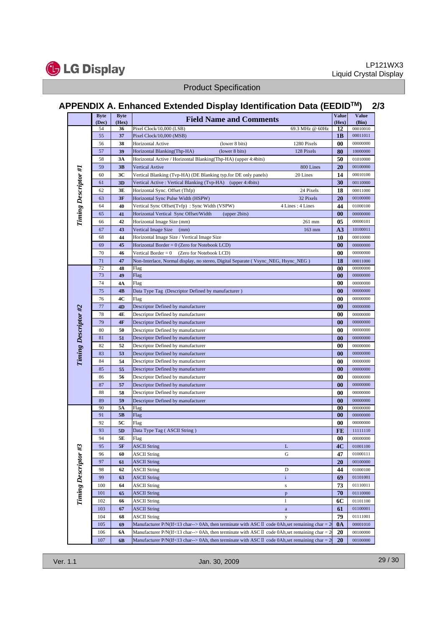

# **APPENDIX A. Enhanced Extended Display Identification Data (EEDIDTM) 2/3**

|                      | <b>Byte</b><br>(Dec) | <b>Byte</b><br>(Hex) | <b>Field Name and Comments</b>                                                                           | <b>Value</b><br>(Hex) | <b>Value</b><br>(Bin) |
|----------------------|----------------------|----------------------|----------------------------------------------------------------------------------------------------------|-----------------------|-----------------------|
|                      | 54                   | 36                   | Pixel Clock/10,000 (LSB)<br>69.3 MHz @ 60Hz                                                              | 12                    | 00010010              |
|                      | 55                   | 37                   | Pixel Clock/10,000 (MSB)                                                                                 | 1B                    | 00011011              |
|                      | 56                   | 38                   | (lower 8 bits)<br>1280 Pixels<br>Horizontal Active                                                       | 00                    | 00000000              |
|                      | 57                   | 39                   | Horizontal Blanking(Thp-HA)<br>(lower 8 bits)<br>128 Pixels                                              | 80                    | 10000000              |
|                      | 58                   | 3A                   | Horizontal Active / Horizontal Blanking(Thp-HA) (upper 4:4bits)                                          | 50                    | 01010000              |
|                      | 59                   | 3B                   | 800 Lines<br><b>Vertical Avtive</b>                                                                      | 20                    | 00100000              |
|                      | 60                   | 3C                   | Vertical Blanking (Tvp-HA) (DE Blanking typ.for DE only panels)<br>20 Lines                              | 14                    | 00010100              |
|                      | 61                   | 3D                   | Vertical Active: Vertical Blanking (Tvp-HA) (upper 4:4bits)                                              | 30                    | 00110000              |
|                      | 62                   | 3Е                   | Horizontal Sync. Offset (Thfp)<br>24 Pixels                                                              | 18                    | 00011000              |
| Timing Descriptor #1 | 63                   | 3F                   | 32 Pixels<br>Horizontal Sync Pulse Width (HSPW)                                                          | 20                    | 00100000              |
|                      | 64                   | 40                   | 4 Lines: 4 Lines<br>Vertical Sync Offset(Tvfp): Sync Width (VSPW)                                        | 44                    | 01000100              |
|                      | 65                   | 41                   | Horizontal Vertical Sync Offset/Width<br>(upper 2bits)                                                   | 00                    | 00000000              |
|                      | 66                   | 42                   | Horizontal Image Size (mm)<br>261 mm                                                                     | 05                    | 00000101              |
|                      | 67                   | 43                   | Vertical Image Size<br>163 mm<br>(mm)                                                                    | A <sub>3</sub>        | 10100011              |
|                      | 68                   | 44                   | Horizontal Image Size / Vertical Image Size                                                              | 10                    | 00010000              |
|                      | 69                   | 45                   | Horizontal Border $= 0$ (Zero for Notebook LCD)                                                          | 00                    | 00000000              |
|                      | 70                   | 46                   | Vertical Border $= 0$<br>(Zero for Notebook LCD)                                                         | 00                    | 00000000              |
|                      | 71                   | 47                   | Non-Interlace, Normal display, no stereo, Digital Separate (Vsync_NEG, Hsync_NEG)                        | 18                    | 00011000              |
|                      | 72                   | 48                   | Flag                                                                                                     | 00                    | 00000000              |
|                      | 73                   | 49                   | Flag                                                                                                     | 00                    | 00000000              |
|                      | 74                   | 4Α                   | Flag                                                                                                     | 00                    | 00000000              |
|                      | 75                   | 4B                   | Data Type Tag (Descriptor Defined by manufacturer)                                                       | 00                    | 00000000              |
|                      | 76                   | 4C                   | Flag                                                                                                     | 00                    | 00000000              |
|                      | 77                   | 4D                   | Descriptor Defined by manufacturer                                                                       | 00                    | 00000000              |
|                      | 78                   | 4E                   | Descriptor Defined by manufacturer                                                                       | 00                    | 00000000              |
|                      | 79                   | 4F                   | Descriptor Defined by manufacturer                                                                       | 00                    | 00000000              |
| Timing Descriptor #2 | 80                   | 50                   | Descriptor Defined by manufacturer                                                                       | 00                    | 00000000              |
|                      | 81                   | 51                   | Descriptor Defined by manufacturer                                                                       | 00                    | 00000000              |
|                      | 82                   | 52                   | Descriptor Defined by manufacturer                                                                       | 00                    | 00000000              |
|                      | 83                   | 53                   | Descriptor Defined by manufacturer                                                                       | 00                    | 00000000              |
|                      | 84                   | 54                   | Descriptor Defined by manufacturer                                                                       | 00                    | 00000000              |
|                      | 85                   | 55                   | Descriptor Defined by manufacturer                                                                       | 00                    | 00000000              |
|                      | 86<br>87             | 56                   | Descriptor Defined by manufacturer                                                                       | 00                    | 00000000              |
|                      | 88                   | 57                   | Descriptor Defined by manufacturer                                                                       | 00                    | 00000000              |
|                      |                      | 58                   | Descriptor Defined by manufacturer                                                                       | 00                    | 00000000<br>00000000  |
|                      | 89<br>90             | 59<br>5Α             | Descriptor Defined by manufacturer<br>Flag                                                               | $\bf{00}$<br>00       | 00000000              |
|                      | 91                   | 5 <b>B</b>           | Flag                                                                                                     | 00                    | 00000000              |
|                      | 92                   | 5C                   | Flag                                                                                                     | 00                    | 00000000              |
|                      | 93                   | 5D                   | Data Type Tag (ASCII String)                                                                             | FE                    | 11111110              |
|                      | 94                   | 5Е                   | Flag                                                                                                     | 00                    | 00000000              |
|                      | 95                   | 5F                   | <b>ASCII String</b><br>L                                                                                 | 4C                    | 01001100              |
|                      | 96                   | 60                   | <b>ASCII String</b><br>G                                                                                 | 47                    | 01000111              |
| Timing Descriptor #3 | 97                   | 61                   | <b>ASCII String</b>                                                                                      | 20                    | 00100000              |
|                      | 98                   | 62                   | <b>ASCII String</b><br>D                                                                                 | 44                    | 01000100              |
|                      | 99                   | 63                   | <b>ASCII String</b><br>$\mathbf{i}$                                                                      | 69                    | 01101001              |
|                      | 100                  | 64                   | <b>ASCII String</b><br>$\bf S$                                                                           | 73                    | 01110011              |
|                      | 101                  | 65                   | <b>ASCII String</b><br>$\, {\bf p}$                                                                      | 70                    | 01110000              |
|                      | 102                  | 66                   | <b>ASCII String</b><br>1                                                                                 | 6C                    | 01101100              |
|                      | 103                  | 67                   | <b>ASCII String</b><br>$\mathbf{a}$                                                                      | 61                    | 01100001              |
|                      | 104                  | 68                   | <b>ASCII String</b><br>у                                                                                 | 79                    | 01111001              |
|                      | 105                  | 69                   | Manufacturer P/N(If<13 char--> 0Ah, then terminate with ASC $\bar{I}$ code 0Ah, set remaining char = 2   | 0A                    | 00001010              |
|                      | 106                  | 6A                   | Manufacturer P/N(If<13 char--> 0Ah, then terminate with ASC $\mathbb I$ code 0Ah, set remaining char = 2 | 20                    | 00100000              |
|                      | 107                  | 6B                   | Manufacturer P/N(If<13 char--> 0Ah, then terminate with ASC $\bar{I}$ code 0Ah, set remaining char = 2   | 20                    | 00100000              |